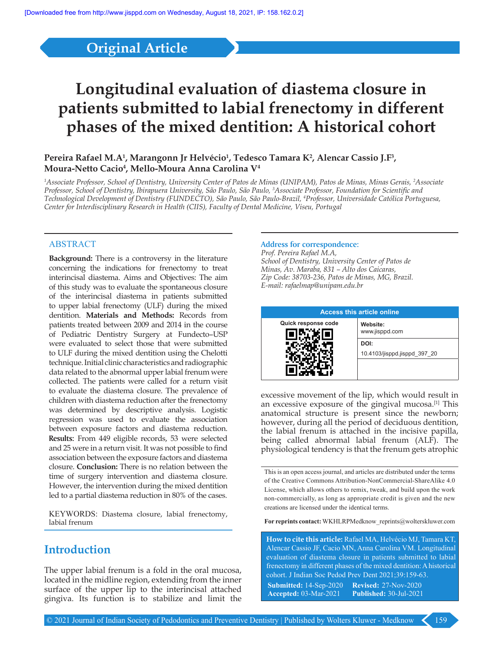## **Original Article**

# **Longitudinal evaluation of diastema closure in patients submitted to labial frenectomy in different phases of the mixed dentition: A historical cohort**

### Pereira Rafael M.A<sup>1</sup>, Marangonn Jr Helvécio<sup>1</sup>, Tedesco Tamara K<sup>2</sup>, Alencar Cassio J.F<sup>3</sup>, **Moura-Netto Cacio4 , Mello-Moura Anna Carolina V4**

*1 Associate Professor, School of Dentistry, University Center of Patos de Minas (UNIPAM), Patos de Minas, Minas Gerais, 2 Associate Professor, School of Dentistry, Ibirapuera University, São Paulo, São Paulo, 3 Associate Professor, Foundation for Scientific and Technological Development of Dentistry (FUNDECTO), São Paulo, São Paulo-Brazil, 4 Professor, Universidade Católica Portuguesa, Center for Interdisciplinary Research in Health (CIIS), Faculty of Dental Medicine, Viseu, Portugal*

#### ABSTRACT

**Background:** There is a controversy in the literature concerning the indications for frenectomy to treat interincisal diastema. Aims and Objectives: The aim of this study was to evaluate the spontaneous closure of the interincisal diastema in patients submitted to upper labial frenectomy (ULF) during the mixed dentition. **Materials and Methods:** Records from patients treated between 2009 and 2014 in the course of Pediatric Dentistry Surgery at Fundecto–USP were evaluated to select those that were submitted to ULF during the mixed dentition using the Chelotti technique. Initial clinic characteristics and radiographic data related to the abnormal upper labial frenum were collected. The patients were called for a return visit to evaluate the diastema closure. The prevalence of children with diastema reduction after the frenectomy was determined by descriptive analysis. Logistic regression was used to evaluate the association between exposure factors and diastema reduction. **Results:** From 449 eligible records, 53 were selected and 25 were in a return visit. It was not possible to find association between the exposure factors and diastema closure. **Conclusion:** There is no relation between the time of surgery intervention and diastema closure. However, the intervention during the mixed dentition led to a partial diastema reduction in 80% of the cases.

KEYWORDS: Diastema closure, labial frenectomy, labial frenum

### **Introduction**

The upper labial frenum is a fold in the oral mucosa, located in the midline region, extending from the inner surface of the upper lip to the interincisal attached gingiva. Its function is to stabilize and limit the

#### **Address for correspondence:**

*Prof. Pereira Rafael M.A, School of Dentistry, University Center of Patos de Minas, Av. Maraba, 831 – Alto dos Caicaras, Zip Code: 38703-236, Patos de Minas, MG, Brazil. E-mail: rafaelmap@unipam.edu.br*



excessive movement of the lip, which would result in an excessive exposure of the gingival mucosa.<sup>[1]</sup> This anatomical structure is present since the newborn; however, during all the period of deciduous dentition, the labial frenum is attached in the incisive papilla, being called abnormal labial frenum (ALF). The physiological tendency is that the frenum gets atrophic

This is an open access journal, and articles are distributed under the terms of the Creative Commons Attribution-NonCommercial-ShareAlike 4.0 License, which allows others to remix, tweak, and build upon the work non-commercially, as long as appropriate credit is given and the new creations are licensed under the identical terms.

**For reprints contact:** WKHLRPMedknow\_reprints@wolterskluwer.com

**How to cite this article:** Rafael MA, Helvécio MJ, Tamara KT, Alencar Cassio JF, Cacio MN, Anna Carolina VM. Longitudinal evaluation of diastema closure in patients submitted to labial frenectomy in different phases of the mixed dentition: A historical cohort. J Indian Soc Pedod Prev Dent 2021;39:159-63. **Submitted:** 14-Sep-2020 **Revised:**  27-Nov-2020 **Accepted:** 03-Mar-2021 **Published:** 30-Jul-2021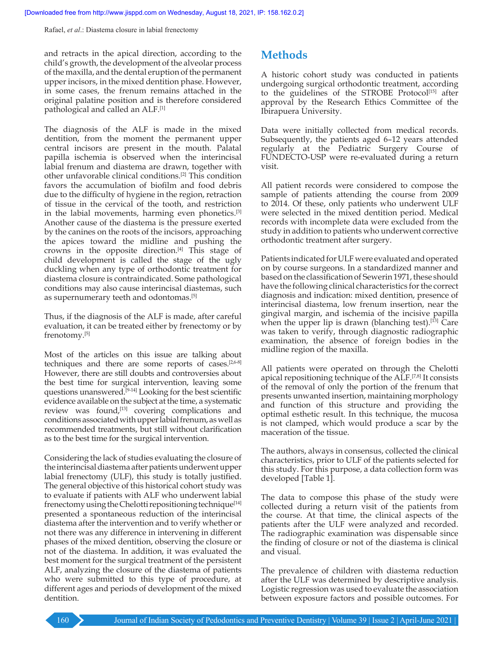Rafael, *et al*.: Diastema closure in labial frenectomy

and retracts in the apical direction, according to the child's growth, the development of the alveolar process of the maxilla, and the dental eruption of the permanent upper incisors, in the mixed dentition phase. However, in some cases, the frenum remains attached in the original palatine position and is therefore considered pathological and called an ALF.[1]

The diagnosis of the ALF is made in the mixed dentition, from the moment the permanent upper central incisors are present in the mouth. Palatal papilla ischemia is observed when the interincisal labial frenum and diastema are drawn, together with other unfavorable clinical conditions.[2] This condition favors the accumulation of biofilm and food debris due to the difficulty of hygiene in the region, retraction of tissue in the cervical of the tooth, and restriction in the labial movements, harming even phonetics.[3] Another cause of the diastema is the pressure exerted by the canines on the roots of the incisors, approaching the apices toward the midline and pushing the crowns in the opposite direction. $[4]$  This stage of child development is called the stage of the ugly duckling when any type of orthodontic treatment for diastema closure is contraindicated. Some pathological conditions may also cause interincisal diastemas, such as supernumerary teeth and odontomas.[5]

Thus, if the diagnosis of the ALF is made, after careful evaluation, it can be treated either by frenectomy or by frenotomy.[5]

Most of the articles on this issue are talking about techniques and there are some reports of cases. $[2,6-8]$ However, there are still doubts and controversies about the best time for surgical intervention, leaving some questions unanswered.<sup>[9-14]</sup> Looking for the best scientific evidence available on the subject at the time, a systematic review was found,<sup>[13]</sup> covering complications and conditions associated with upper labial frenum, as well as recommended treatments, but still without clarification as to the best time for the surgical intervention.

Considering the lack of studies evaluating the closure of the interincisal diastema after patients underwent upper labial frenectomy (ULF), this study is totally justified. The general objective of this historical cohort study was to evaluate if patients with ALF who underwent labial frenectomy using the Chelotti repositioning technique<sup>[14]</sup> presented a spontaneous reduction of the interincisal diastema after the intervention and to verify whether or not there was any difference in intervening in different phases of the mixed dentition, observing the closure or not of the diastema. In addition, it was evaluated the best moment for the surgical treatment of the persistent ALF, analyzing the closure of the diastema of patients who were submitted to this type of procedure, at different ages and periods of development of the mixed dentition.

### **Methods**

A historic cohort study was conducted in patients undergoing surgical orthodontic treatment, according to the guidelines of the STROBE Protocol<sup>[15]</sup> after approval by the Research Ethics Committee of the Ibirapuera University.

Data were initially collected from medical records. Subsequently, the patients aged 6–12 years attended regularly at the Pediatric Surgery Course of FUNDECTO-USP were re-evaluated during a return visit.

All patient records were considered to compose the sample of patients attending the course from 2009 to 2014. Of these, only patients who underwent ULF were selected in the mixed dentition period. Medical records with incomplete data were excluded from the study in addition to patients who underwent corrective orthodontic treatment after surgery.

Patients indicated for ULF were evaluated and operated on by course surgeons. In a standardized manner and based on the classification of  Sewerin 1971, these should have the following clinical characteristics for the correct diagnosis and indication: mixed dentition, presence of interincisal diastema, low frenum insertion, near the gingival margin, and ischemia of the incisive papilla when the upper lip is drawn (blanching test).<sup>[13]</sup> Care was taken to verify, through diagnostic radiographic examination, the absence of foreign bodies in the midline region of the maxilla.

All patients were operated on through the Chelotti apical repositioning technique of the ALF.[7,8] It consists of the removal of only the portion of the frenum that presents unwanted insertion, maintaining morphology and function of this structure and providing the optimal esthetic result. In this technique, the mucosa is not clamped, which would produce a scar by the maceration of the tissue.

The authors, always in consensus, collected the clinical characteristics, prior to ULF of the patients selected for this study. For this purpose, a data collection form was developed [Table 1].

The data to compose this phase of the study were collected during a return visit of the patients from the course. At that time, the clinical aspects of the patients after the ULF were analyzed and recorded. The radiographic examination was dispensable since the finding of closure or not of the diastema is clinical and visual.

The prevalence of children with diastema reduction after the ULF was determined by descriptive analysis. Logistic regression was used to evaluate the association between exposure factors and possible outcomes. For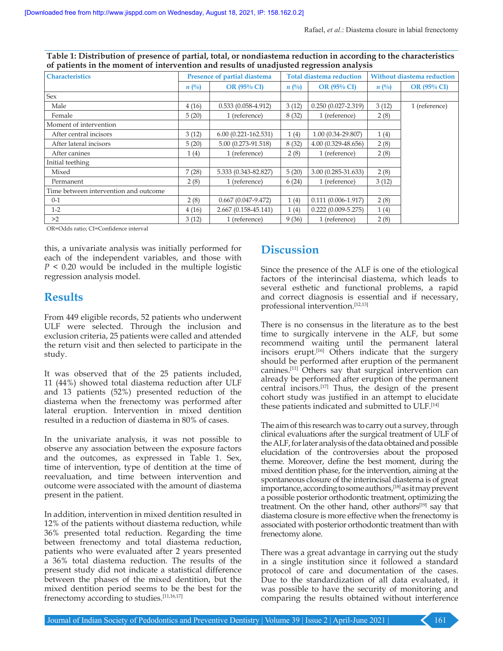| <b>Characteristics</b>                | Presence of partial diastema |                         | <b>Total diastema reduction</b> |                        | <b>Without diastema reduction</b> |                    |
|---------------------------------------|------------------------------|-------------------------|---------------------------------|------------------------|-----------------------------------|--------------------|
|                                       | $n(^{0}_{0})$                | <b>OR (95% CI)</b>      | $n(^{0}_{0})$                   | <b>OR</b> (95% CI)     | $n(^{0}_{0})$                     | <b>OR (95% CI)</b> |
| Sex                                   |                              |                         |                                 |                        |                                   |                    |
| Male                                  | 4(16)                        | $0.533(0.058-4.912)$    | 3(12)                           | $0.250(0.027 - 2.319)$ | 3(12)                             | 1 (reference)      |
| Female                                | 5(20)                        | 1 (reference)           | 8(32)                           | 1 (reference)          | 2(8)                              |                    |
| Moment of intervention                |                              |                         |                                 |                        |                                   |                    |
| After central incisors                | 3(12)                        | $6.00(0.221 - 162.531)$ | 1(4)                            | $1.00(0.34-29.807)$    | 1(4)                              |                    |
| After lateral incisors                | 5(20)                        | 5.00 (0.273-91.518)     | 8(32)                           | 4.00 (0.329-48.656)    | 2(8)                              |                    |
| After canines                         | 1(4)                         | 1 (reference)           | 2(8)                            | 1 (reference)          | 2(8)                              |                    |
| Initial teething                      |                              |                         |                                 |                        |                                   |                    |
| Mixed                                 | 7(28)                        | 5.333 (0.343-82.827)    | 5(20)                           | 3.00 (0.285-31.633)    | 2(8)                              |                    |
| Permanent                             | 2(8)                         | 1 (reference)           | 6(24)                           | 1 (reference)          | 3(12)                             |                    |
| Time between intervention and outcome |                              |                         |                                 |                        |                                   |                    |
| $0 - 1$                               | 2(8)                         | $0.667(0.047-9.472)$    | 1(4)                            | $0.111(0.006 - 1.917)$ | 2(8)                              |                    |
| $1-2$                                 | 4(16)                        | 2.667 (0.158-45.141)    | 1(4)                            | $0.222(0.009 - 5.275)$ | 1(4)                              |                    |
| >2                                    | 3(12)                        | 1 (reference)           | 9(36)                           | 1 (reference)          | 2(8)                              |                    |

**Table 1: Distribution of presence of partial, total, or nondiastema reduction in according to the characteristics of patients in the moment of intervention and results of unadjusted regression analysis**

OR=Odds ratio; CI=Confidence interval

this, a univariate analysis was initially performed for each of the independent variables, and those with *P* < 0.20 would be included in the multiple logistic regression analysis model.

### **Results**

From 449 eligible records, 52 patients who underwent ULF were selected. Through the inclusion and exclusion criteria, 25 patients were called and attended the return visit and then selected to participate in the study.

It was observed that of the 25 patients included, 11 (44%) showed total diastema reduction after ULF and 13 patients (52%) presented reduction of the diastema when the frenectomy was performed after lateral eruption. Intervention in mixed dentition resulted in a reduction of diastema in 80% of cases.

In the univariate analysis, it was not possible to observe any association between the exposure factors and the outcomes, as expressed in Table 1. Sex, time of intervention, type of dentition at the time of reevaluation, and time between intervention and outcome were associated with the amount of diastema present in the patient.

In addition, intervention in mixed dentition resulted in 12% of the patients without diastema reduction, while 36% presented total reduction. Regarding the time between frenectomy and total diastema reduction, patients who were evaluated after 2 years presented a 36% total diastema reduction. The results of the present study did not indicate a statistical difference between the phases of the mixed dentition, but the mixed dentition period seems to be the best for the frenectomy according to studies.<sup>[11,16,17]</sup>

### **Discussion**

Since the presence of the ALF is one of the etiological factors of the interincisal diastema, which leads to several esthetic and functional problems, a rapid and correct diagnosis is essential and if necessary, professional intervention.[12,13]

There is no consensus in the literature as to the best time to surgically intervene in the ALF, but some recommend waiting until the permanent lateral incisors erupt.<sup>[16]</sup> Others indicate that the surgery should be performed after eruption of the permanent canines.[11] Others say that surgical intervention can already be performed after eruption of the permanent central incisors.[17] Thus, the design of the present cohort study was justified in an attempt to elucidate these patients indicated and submitted to ULF.[14]

The aim of this research was to carry out a survey, through clinical evaluations after the surgical treatment of ULF of the ALF, for later analysis of the data obtained and possible elucidation of the controversies about the proposed theme. Moreover, define the best moment, during the mixed dentition phase, for the intervention, aiming at the spontaneous closure of the interincisal diastema is of great importance, according to some authors,[18] as it may prevent a possible posterior orthodontic treatment, optimizing the treatment. On the other hand, other authors<sup>[19]</sup> say that diastema closure is more effective when the frenectomy is associated with posterior orthodontic treatment than with frenectomy alone.

There was a great advantage in carrying out the study in a single institution since it followed a standard protocol of care and documentation of the cases. Due to the standardization of all data evaluated, it was possible to have the security of monitoring and comparing the results obtained without interference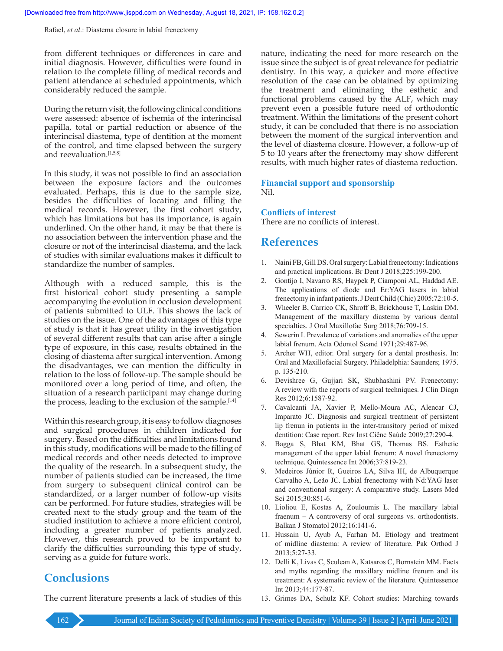Rafael, *et al*.: Diastema closure in labial frenectomy

from different techniques or differences in care and initial diagnosis. However, difficulties were found in relation to the complete filling of medical records and patient attendance at scheduled appointments, which considerably reduced the sample.

During the return visit, the following clinical conditions were assessed: absence of ischemia of the interincisal papilla, total or partial reduction or absence of the interincisal diastema, type of dentition at the moment of the control, and time elapsed between the surgery and reevaluation.[1,5,8]

In this study, it was not possible to find an association between the exposure factors and the outcomes evaluated. Perhaps, this is due to the sample size, besides the difficulties of locating and filling the medical records. However, the first cohort study, which has limitations but has its importance, is again underlined. On the other hand, it may be that there is no association between the intervention phase and the closure or not of the interincisal diastema, and the lack of studies with similar evaluations makes it difficult to standardize the  number of samples.

Although with a reduced sample, this is the first historical cohort study presenting a sample accompanying the evolution in occlusion development of patients submitted to ULF. This shows the lack of studies on the issue. One of the advantages of this type of study is that it has great utility in the investigation of several different results that can arise after a single type of exposure, in this case, results obtained in the closing of diastema after surgical intervention. Among the disadvantages, we can mention the difficulty in relation to the loss of follow‑up. The sample should be monitored over a long period of time, and often, the situation of a research participant may change during the process, leading to the exclusion of the sample.<sup>[14]</sup>

Within this research group, it is easy to follow diagnoses and surgical procedures in children indicated for surgery. Based on the difficulties and limitations found in this study, modifications will be made to the filling of medical records and other needs detected to improve the quality of the research. In a subsequent study, the number of patients studied can be increased, the time from surgery to subsequent clinical control can be standardized, or a larger number of follow‑up visits can be performed. For future studies, strategies will be created next to the study group and the team of the studied institution to achieve a more efficient control, including a greater number of patients analyzed. However, this research proved to be important to clarify the difficulties surrounding this type of study, serving as a guide for future work.

**Conclusions**

The current literature presents a lack of studies of this

nature, indicating the need for more research on the issue since the subject is of great relevance for pediatric dentistry. In this way, a quicker and more effective resolution of the case can be obtained by optimizing the treatment and eliminating the esthetic and functional problems caused by the ALF, which may prevent even a possible future need of orthodontic treatment. Within the limitations of the present cohort study, it can be concluded that there is no association between the moment of the surgical intervention and the level of diastema closure. However, a follow‑up of 5 to 10 years after the frenectomy may show different results, with much higher rates of diastema reduction.

#### **Financial support and sponsorship** Nil.

#### **Conflicts of interest**

There are no conflicts of interest.

### **References**

- 1. Naini FB, Gill DS. Oral surgery: Labial frenectomy: Indications and practical implications. Br Dent J 2018;225:199-200.
- 2. Gontijo I, Navarro RS, Haypek P, Ciamponi AL, Haddad AE. The applications of diode and Er:YAG lasers in labial frenectomy in infant patients. J Dent Child (Chic) 2005;72:10-5.
- 3. Wheeler B, Carrico CK, Shroff B, Brickhouse T, Laskin DM. Management of the maxillary diastema by various dental specialties. J Oral Maxillofac Surg 2018;76:709-15.
- 4. Sewerin I. Prevalence of variations and anomalies of the upper labial frenum. Acta Odontol Scand 1971;29:487-96.
- 5. Archer WH, editor. Oral surgery for a dental prosthesis. In: Oral and Maxillofacial Surgery. Philadelphia: Saunders; 1975. p. 135-210.
- 6. Devishree G, Gujjari SK, Shubhashini PV. Frenectomy: A review with the reports of surgical techniques. J Clin Diagn Res 2012;6:1587-92.
- 7. Cavalcanti JA, Xavier P, Mello-Moura AC, Alencar CJ, Imparato JC. Diagnosis and surgical treatment of persistent lip frenun in patients in the inter-transitory period of mixed dentition: Case report. Rev Inst Ciênc Saúde 2009;27:290-4.
- 8. Bagga S, Bhat KM, Bhat GS, Thomas BS. Esthetic management of the upper labial frenum: A novel frenectomy technique. Quintessence Int 2006;37:819-23.
- 9. Medeiros Júnior R, Gueiros LA, Silva IH, de Albuquerque Carvalho A, Leão JC. Labial frenectomy with Nd:YAG laser and conventional surgery: A comparative study. Lasers Med Sci 2015;30:851-6.
- 10. Lioliou E, Kostas A, Zouloumis L. The maxillary labial fraenum – A controversy of oral surgeons vs. orthodontists. Balkan J Stomatol 2012;16:141-6.
- 11. Hussain U, Ayub A, Farhan M. Etiology and treatment of midline diastema: A review of literature. Pak Orthod J 2013;5:27-33.
- 12. Delli K, Livas C, Sculean A, Katsaros C, Bornstein MM. Facts and myths regarding the maxillary midline frenum and its treatment: A systematic review of the literature. Quintessence Int 2013;44:177-87.
- 13. Grimes DA, Schulz KF. Cohort studies: Marching towards